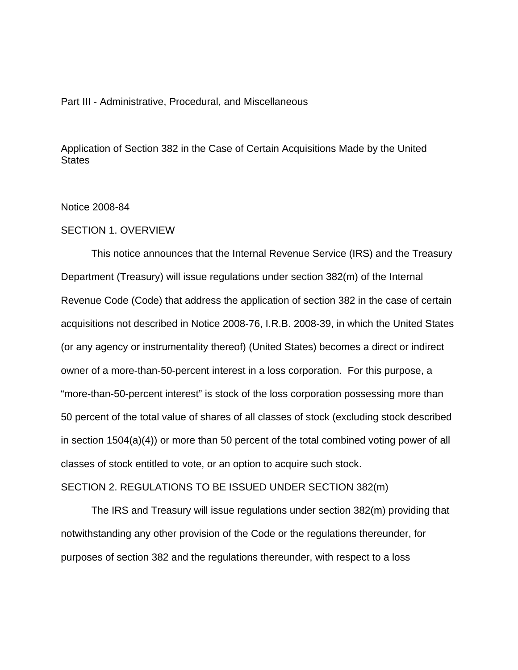### Part III - Administrative, Procedural, and Miscellaneous

Application of Section 382 in the Case of Certain Acquisitions Made by the United **States** 

### Notice 2008-84

## SECTION 1. OVERVIEW

This notice announces that the Internal Revenue Service (IRS) and the Treasury Department (Treasury) will issue regulations under section 382(m) of the Internal Revenue Code (Code) that address the application of section 382 in the case of certain acquisitions not described in Notice 2008-76, I.R.B. 2008-39, in which the United States (or any agency or instrumentality thereof) (United States) becomes a direct or indirect owner of a more-than-50-percent interest in a loss corporation. For this purpose, a "more-than-50-percent interest" is stock of the loss corporation possessing more than 50 percent of the total value of shares of all classes of stock (excluding stock described in section 1504(a)(4)) or more than 50 percent of the total combined voting power of all classes of stock entitled to vote, or an option to acquire such stock.

## SECTION 2. REGULATIONS TO BE ISSUED UNDER SECTION 382(m)

The IRS and Treasury will issue regulations under section 382(m) providing that notwithstanding any other provision of the Code or the regulations thereunder, for purposes of section 382 and the regulations thereunder, with respect to a loss